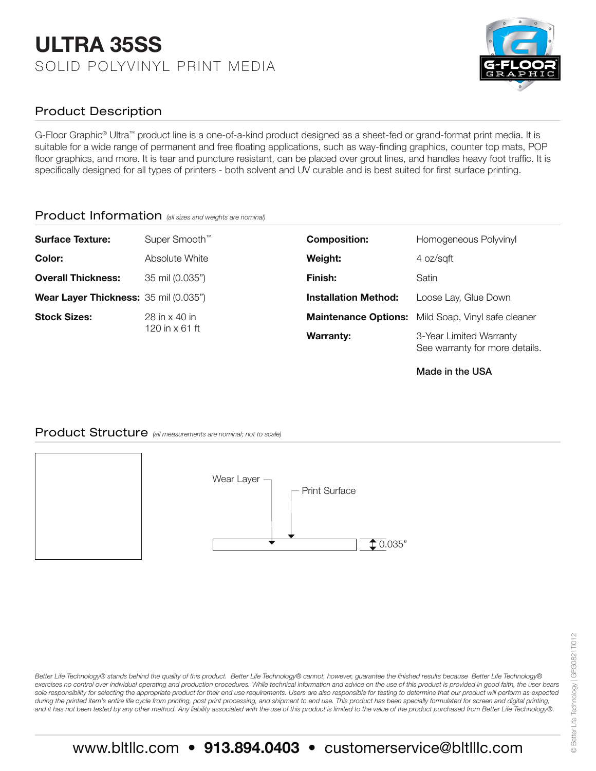# ULTRA 35SS SOLID POLYVINYL PRINT MEDIA



## Product Description

G-Floor Graphic® Ultra™ product line is a one-of-a-kind product designed as a sheet-fed or grand-format print media. It is suitable for a wide range of permanent and free floating applications, such as way-finding graphics, counter top mats, POP floor graphics, and more. It is tear and puncture resistant, can be placed over grout lines, and handles heavy foot traffic. It is specifically designed for all types of printers - both solvent and UV curable and is best suited for first surface printing.

#### Product Information *(all sizes and weights are nominal)*

| <b>Surface Texture:</b>               | Super Smooth <sup>™</sup>              | <b>Composition:</b>         | Homogeneous Polyvinyl                                     |
|---------------------------------------|----------------------------------------|-----------------------------|-----------------------------------------------------------|
| Color:                                | Absolute White                         | Weight:                     | 4 oz/sqft                                                 |
| <b>Overall Thickness:</b>             | 35 mil (0.035")                        | Finish:                     | Satin                                                     |
| Wear Layer Thickness: 35 mil (0.035") |                                        | <b>Installation Method:</b> | Loose Lay, Glue Down                                      |
| <b>Stock Sizes:</b>                   | 28 in x 40 in<br>120 in $\times$ 61 ft |                             | Maintenance Options: Mild Soap, Vinyl safe cleaner        |
|                                       |                                        | <b>Warranty:</b>            | 3-Year Limited Warranty<br>See warranty for more details. |

Made in the USA

#### Product Structure *(all measurements are nominal; not to scale)*



Better Life Technology® stands behind the quality of this product. Better Life Technology® cannot, however, guarantee the finished results because Better Life Technology® exercises no control over individual operating and production procedures. While technical information and advice on the use of this product is provided in good faith, the user bears sole responsibility for selecting the appropriate product for their end use requirements. Users are also responsible for testing to determine that our product will perform as expected during the printed item's entire life cycle from printing, post print processing, and shipment to end use. This product has been specially formulated for screen and digital printing, *and it has not been tested by any other method. Any liability associated with the use of this product is limited to the value of the product purchased from Better Life Technology®.*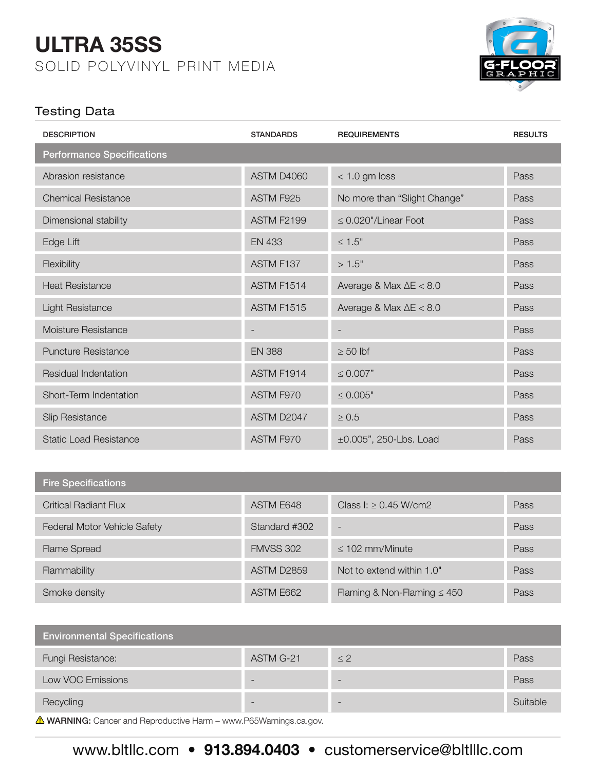# ULTRA 35SS SOLID POLYVINYL PRINT MEDIA



## Testing Data

| <b>DESCRIPTION</b>                | <b>STANDARDS</b>  | <b>REQUIREMENTS</b>            | <b>RESULTS</b> |
|-----------------------------------|-------------------|--------------------------------|----------------|
| <b>Performance Specifications</b> |                   |                                |                |
| Abrasion resistance               | ASTM D4060        | $< 1.0$ gm loss                | Pass           |
| <b>Chemical Resistance</b>        | ASTM F925         | No more than "Slight Change"   | Pass           |
| Dimensional stability             | <b>ASTM F2199</b> | $\leq$ 0.020"/Linear Foot      | Pass           |
| Edge Lift                         | <b>EN 433</b>     | $\leq 1.5"$                    | Pass           |
| Flexibility                       | ASTM F137         | >1.5"                          | Pass           |
| <b>Heat Resistance</b>            | <b>ASTM F1514</b> | Average & Max $\Delta E < 8.0$ | Pass           |
| <b>Light Resistance</b>           | <b>ASTM F1515</b> | Average & Max $\Delta E < 8.0$ | Pass           |
| Moisture Resistance               |                   |                                | Pass           |
| <b>Puncture Resistance</b>        | <b>EN 388</b>     | $\geq 50$ lbf                  | Pass           |
| Residual Indentation              | ASTM F1914        | $\leq 0.007"$                  | Pass           |
| Short-Term Indentation            | ASTM F970         | $\leq 0.005"$                  | Pass           |
| Slip Resistance                   | ASTM D2047        | $\geq 0.5$                     | Pass           |
| <b>Static Load Resistance</b>     | ASTM F970         | ±0.005", 250-Lbs. Load         | Pass           |

| <b>Fire Specifications</b>   |                   |                                  |      |
|------------------------------|-------------------|----------------------------------|------|
| <b>Critical Radiant Flux</b> | ASTM E648         | Class I: $\geq$ 0.45 W/cm2       | Pass |
| Federal Motor Vehicle Safety | Standard #302     | $\overline{\phantom{0}}$         | Pass |
| <b>Flame Spread</b>          | <b>FMVSS 302</b>  | $\leq$ 102 mm/Minute             | Pass |
| Flammability                 | <b>ASTM D2859</b> | Not to extend within 1.0"        | Pass |
| Smoke density                | ASTM E662         | Flaming & Non-Flaming $\leq 450$ | Pass |

| <b>Environmental Specifications</b> |           |          |          |  |  |
|-------------------------------------|-----------|----------|----------|--|--|
| Fungi Resistance:                   | ASTM G-21 | $\leq$ 2 | Pass     |  |  |
| Low VOC Emissions                   |           |          | Pass     |  |  |
| Recycling                           | -         | -        | Suitable |  |  |
| $\sim$                              |           |          |          |  |  |

WARNING: Cancer and Reproductive Harm – www.P65Warnings.ca.gov.

# www.bltllc.com • 913.894.0403 • customerservice@bltlllc.com